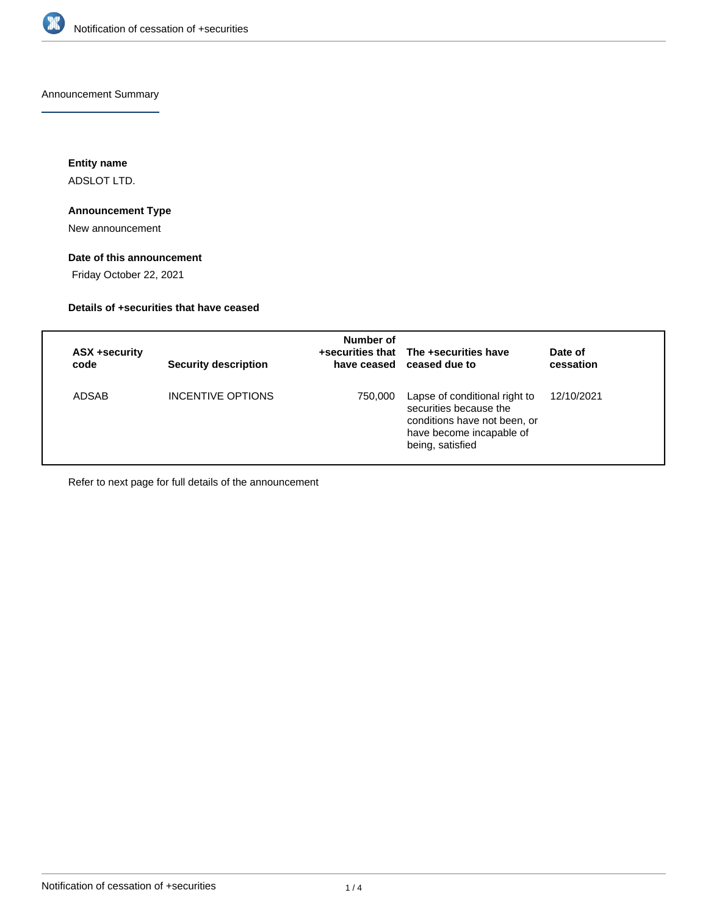

Announcement Summary

**Entity name**

ADSLOT LTD.

## **Announcement Type**

New announcement

### **Date of this announcement**

Friday October 22, 2021

## **Details of +securities that have ceased**

| ASX +security<br>code | <b>Security description</b> | Number of | +securities that The +securities have<br>have ceased ceased due to                                                                      | Date of<br>cessation |
|-----------------------|-----------------------------|-----------|-----------------------------------------------------------------------------------------------------------------------------------------|----------------------|
| ADSAB                 | INCENTIVE OPTIONS           | 750,000   | Lapse of conditional right to<br>securities because the<br>conditions have not been, or<br>have become incapable of<br>being, satisfied | 12/10/2021           |

Refer to next page for full details of the announcement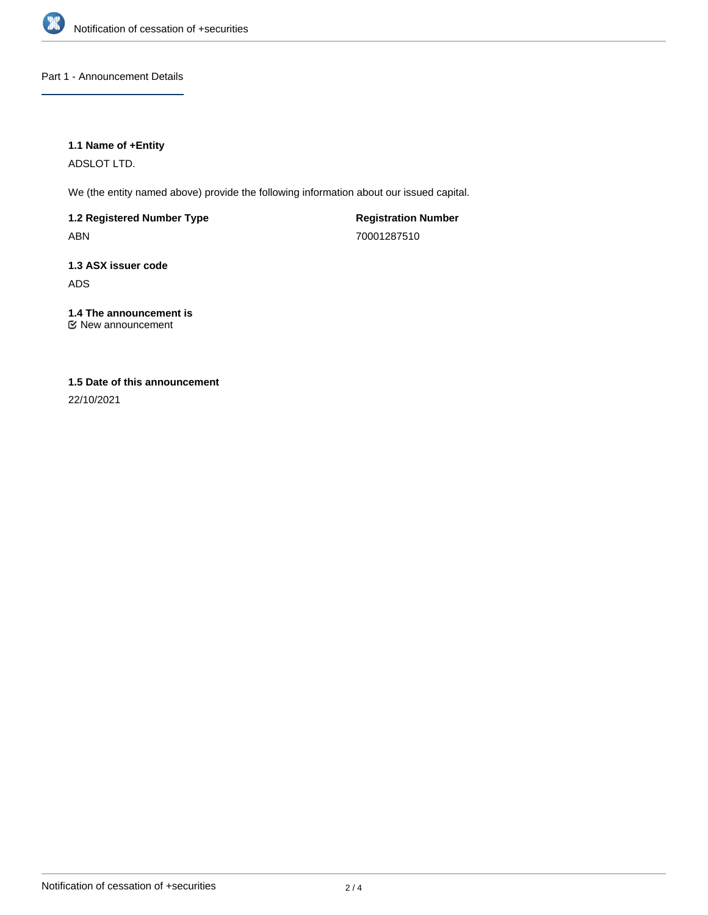

Part 1 - Announcement Details

### **1.1 Name of +Entity**

ADSLOT LTD.

We (the entity named above) provide the following information about our issued capital.

**1.2 Registered Number Type** ABN

**Registration Number** 70001287510

**1.3 ASX issuer code** ADS

**1.4 The announcement is** New announcement

# **1.5 Date of this announcement**

22/10/2021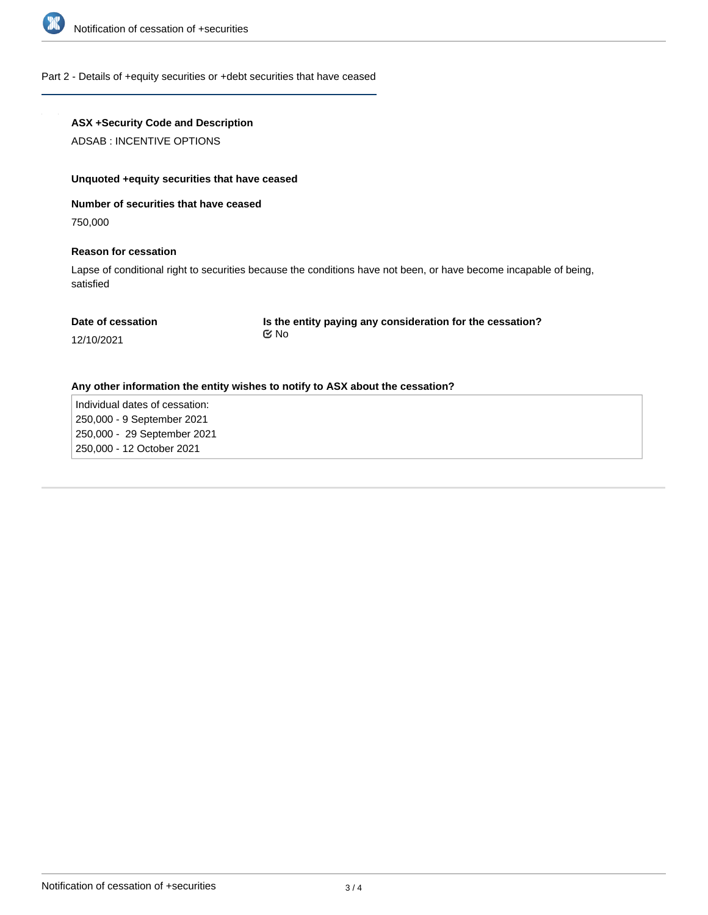

#### Part 2 - Details of +equity securities or +debt securities that have ceased

### **ASX +Security Code and Description**

ADSAB : INCENTIVE OPTIONS

#### **Unquoted +equity securities that have ceased**

### **Number of securities that have ceased**

750,000

#### **Reason for cessation**

Lapse of conditional right to securities because the conditions have not been, or have become incapable of being, satisfied

#### **Date of cessation**

**Is the entity paying any consideration for the cessation?** No

## 12/10/2021

#### **Any other information the entity wishes to notify to ASX about the cessation?**

Individual dates of cessation: 250,000 - 9 September 2021 250,000 - 29 September 2021 250,000 - 12 October 2021